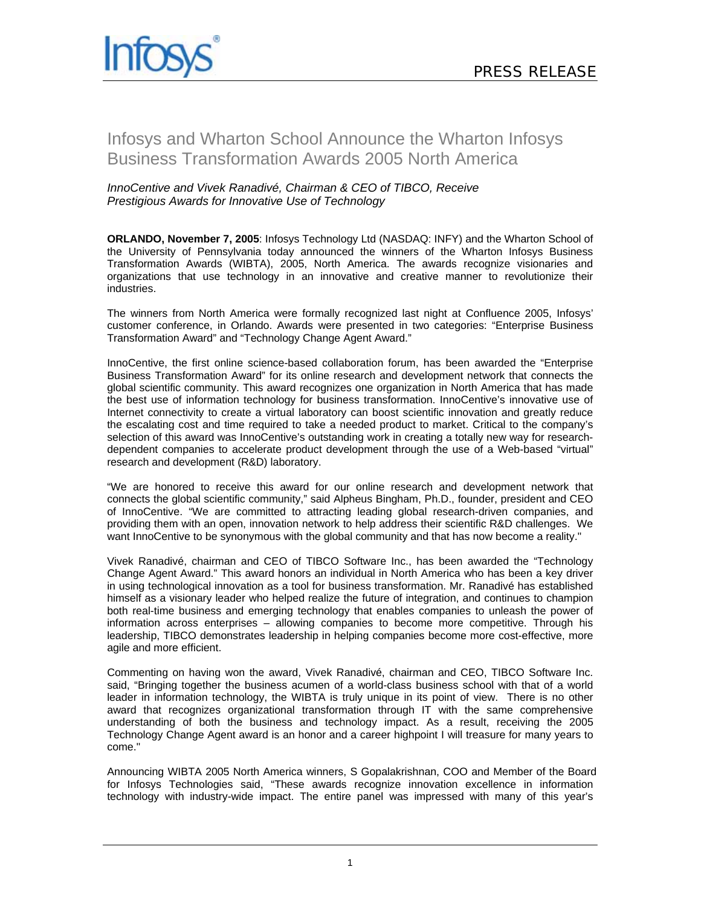

## Infosys and Wharton School Announce the Wharton Infosys Business Transformation Awards 2005 North America

## *InnoCentive and Vivek Ranadivé, Chairman & CEO of TIBCO, Receive Prestigious Awards for Innovative Use of Technology*

**ORLANDO, November 7, 2005**: Infosys Technology Ltd (NASDAQ: INFY) and the Wharton School of the University of Pennsylvania today announced the winners of the Wharton Infosys Business Transformation Awards (WIBTA), 2005, North America. The awards recognize visionaries and organizations that use technology in an innovative and creative manner to revolutionize their industries.

The winners from North America were formally recognized last night at Confluence 2005, Infosys' customer conference, in Orlando. Awards were presented in two categories: "Enterprise Business Transformation Award" and "Technology Change Agent Award."

InnoCentive, the first online science-based collaboration forum, has been awarded the "Enterprise Business Transformation Award" for its online research and development network that connects the global scientific community. This award recognizes one organization in North America that has made the best use of information technology for business transformation. InnoCentive's innovative use of Internet connectivity to create a virtual laboratory can boost scientific innovation and greatly reduce the escalating cost and time required to take a needed product to market. Critical to the company's selection of this award was InnoCentive's outstanding work in creating a totally new way for researchdependent companies to accelerate product development through the use of a Web-based "virtual" research and development (R&D) laboratory.

"We are honored to receive this award for our online research and development network that connects the global scientific community," said Alpheus Bingham, Ph.D., founder, president and CEO of InnoCentive. "We are committed to attracting leading global research-driven companies, and providing them with an open, innovation network to help address their scientific R&D challenges. We want InnoCentive to be synonymous with the global community and that has now become a reality."

Vivek Ranadivé, chairman and CEO of TIBCO Software Inc., has been awarded the "Technology Change Agent Award." This award honors an individual in North America who has been a key driver in using technological innovation as a tool for business transformation. Mr. Ranadivé has established himself as a visionary leader who helped realize the future of integration, and continues to champion both real-time business and emerging technology that enables companies to unleash the power of information across enterprises – allowing companies to become more competitive. Through his leadership, TIBCO demonstrates leadership in helping companies become more cost-effective, more agile and more efficient.

Commenting on having won the award, Vivek Ranadivé, chairman and CEO, TIBCO Software Inc. said, "Bringing together the business acumen of a world-class business school with that of a world leader in information technology, the WIBTA is truly unique in its point of view. There is no other award that recognizes organizational transformation through IT with the same comprehensive understanding of both the business and technology impact. As a result, receiving the 2005 Technology Change Agent award is an honor and a career highpoint I will treasure for many years to come."

Announcing WIBTA 2005 North America winners, S Gopalakrishnan, COO and Member of the Board for Infosys Technologies said, "These awards recognize innovation excellence in information technology with industry-wide impact. The entire panel was impressed with many of this year's